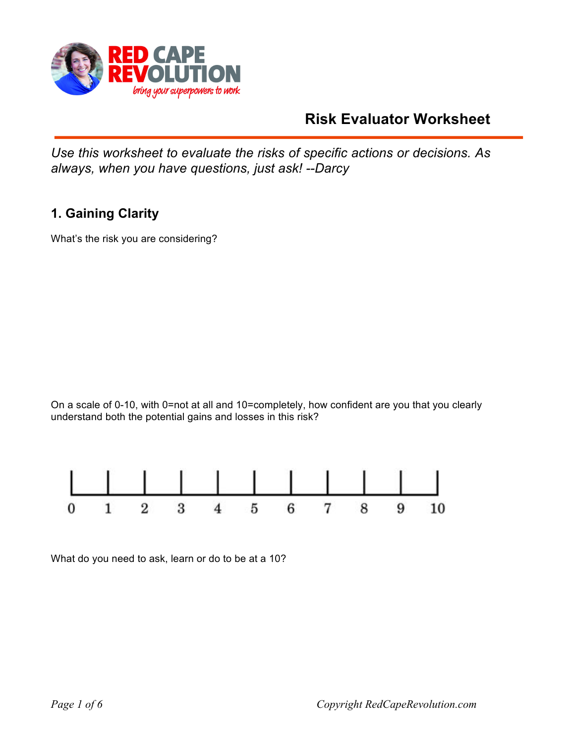

# **Risk Evaluator Worksheet**

*Use this worksheet to evaluate the risks of specific actions or decisions. As always, when you have questions, just ask! --Darcy*

## **1. Gaining Clarity**

What's the risk you are considering?

On a scale of 0-10, with 0=not at all and 10=completely, how confident are you that you clearly understand both the potential gains and losses in this risk?



What do you need to ask, learn or do to be at a 10?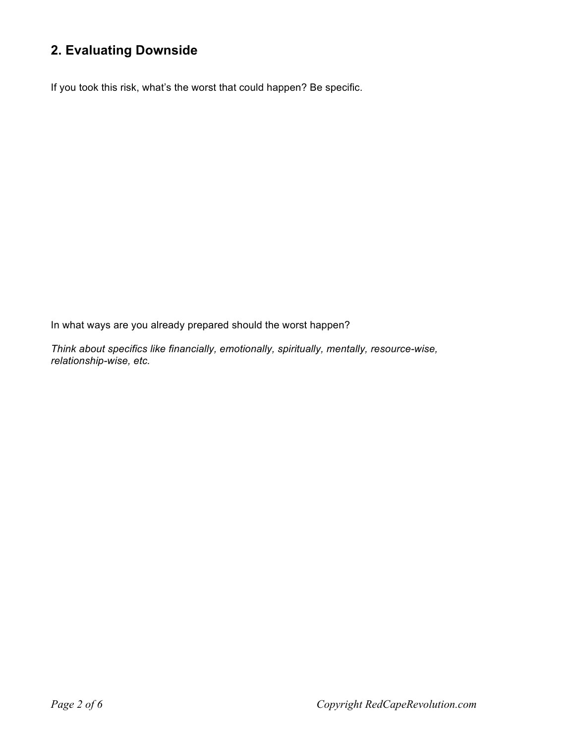## **2. Evaluating Downside**

If you took this risk, what's the worst that could happen? Be specific.

In what ways are you already prepared should the worst happen?

*Think about specifics like financially, emotionally, spiritually, mentally, resource-wise, relationship-wise, etc.*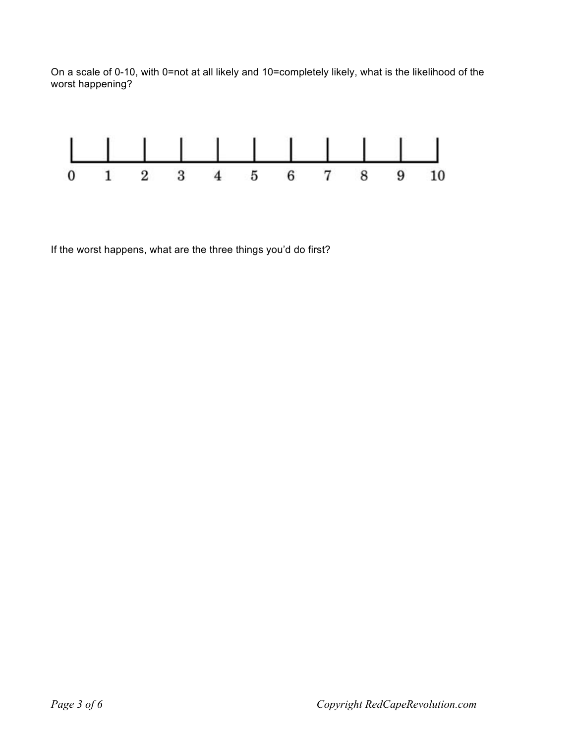On a scale of 0-10, with 0=not at all likely and 10=completely likely, what is the likelihood of the worst happening?



If the worst happens, what are the three things you'd do first?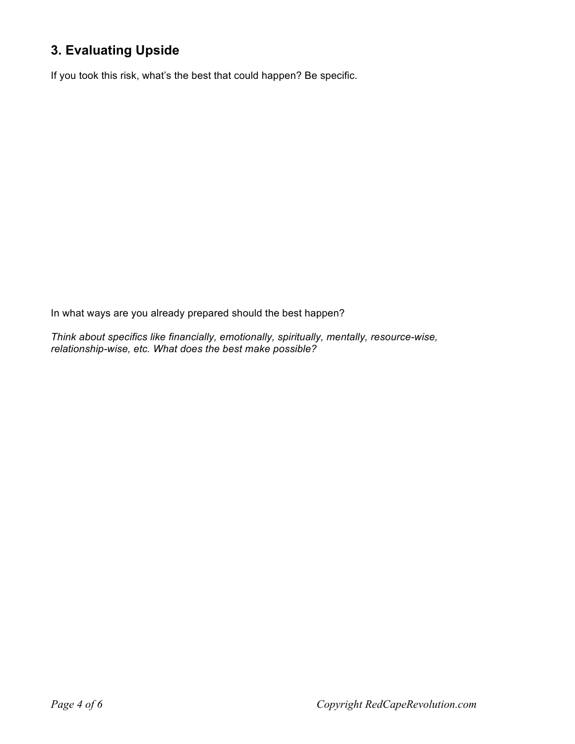## **3. Evaluating Upside**

If you took this risk, what's the best that could happen? Be specific.

In what ways are you already prepared should the best happen?

*Think about specifics like financially, emotionally, spiritually, mentally, resource-wise, relationship-wise, etc. What does the best make possible?*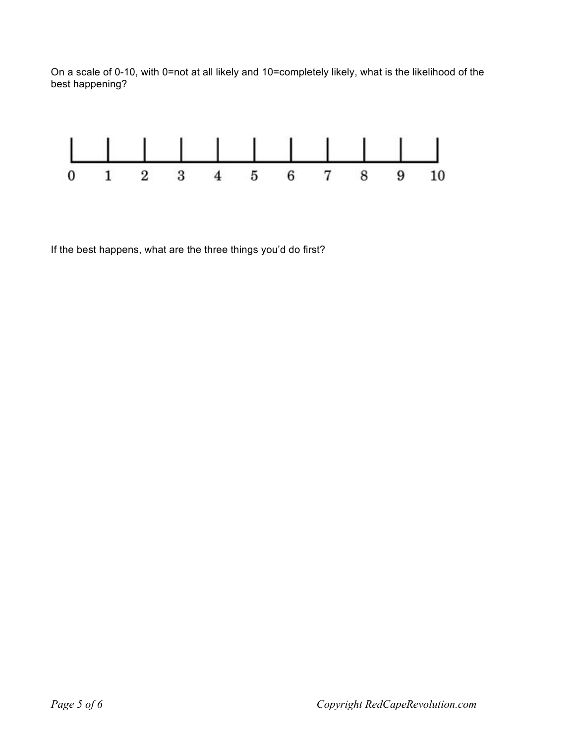On a scale of 0-10, with 0=not at all likely and 10=completely likely, what is the likelihood of the best happening?



If the best happens, what are the three things you'd do first?